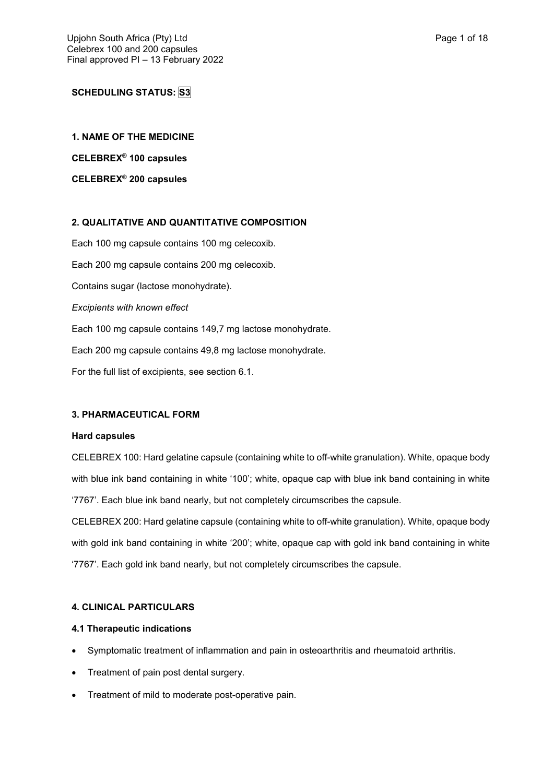# **SCHEDULING STATUS: S3**

**1. NAME OF THE MEDICINE**

**CELEBREX® 100 capsules**

**CELEBREX® 200 capsules**

# **2. QUALITATIVE AND QUANTITATIVE COMPOSITION**

Each 100 mg capsule contains 100 mg celecoxib. Each 200 mg capsule contains 200 mg celecoxib. Contains sugar (lactose monohydrate). *Excipients with known effect* Each 100 mg capsule contains 149,7 mg lactose monohydrate. Each 200 mg capsule contains 49,8 mg lactose monohydrate. For the full list of excipients, see section 6.1.

# **3. PHARMACEUTICAL FORM**

#### **Hard capsules**

CELEBREX 100: Hard gelatine capsule (containing white to off-white granulation). White, opaque body with blue ink band containing in white '100'; white, opaque cap with blue ink band containing in white '7767'. Each blue ink band nearly, but not completely circumscribes the capsule.

CELEBREX 200: Hard gelatine capsule (containing white to off-white granulation). White, opaque body with gold ink band containing in white '200'; white, opaque cap with gold ink band containing in white '7767'. Each gold ink band nearly, but not completely circumscribes the capsule.

# **4. CLINICAL PARTICULARS**

## **4.1 Therapeutic indications**

- Symptomatic treatment of inflammation and pain in osteoarthritis and rheumatoid arthritis.
- Treatment of pain post dental surgery.
- Treatment of mild to moderate post-operative pain.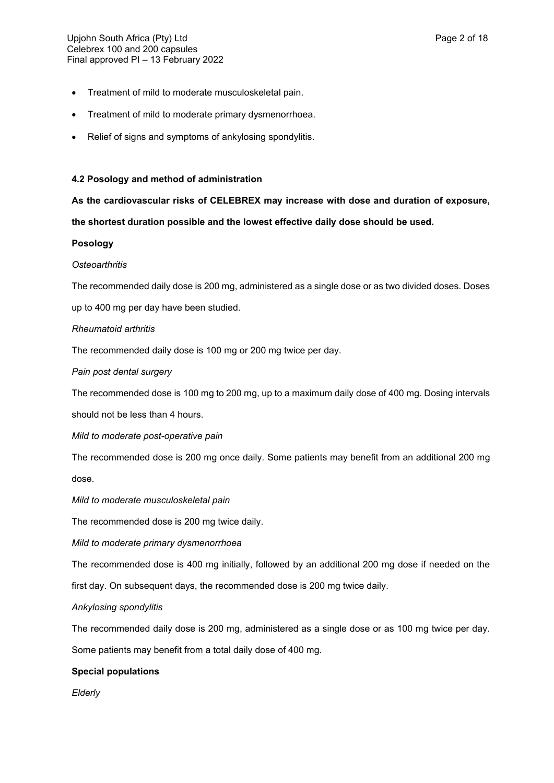- Treatment of mild to moderate musculoskeletal pain.
- Treatment of mild to moderate primary dysmenorrhoea.
- Relief of signs and symptoms of ankylosing spondylitis.

# **4.2 Posology and method of administration**

**As the cardiovascular risks of CELEBREX may increase with dose and duration of exposure,** 

**the shortest duration possible and the lowest effective daily dose should be used.**

# **Posology**

# *Osteoarthritis*

The recommended daily dose is 200 mg, administered as a single dose or as two divided doses. Doses

up to 400 mg per day have been studied.

# *Rheumatoid arthritis*

The recommended daily dose is 100 mg or 200 mg twice per day.

# *Pain post dental surgery*

The recommended dose is 100 mg to 200 mg, up to a maximum daily dose of 400 mg. Dosing intervals

should not be less than 4 hours.

*Mild to moderate post-operative pain*

The recommended dose is 200 mg once daily. Some patients may benefit from an additional 200 mg dose.

*Mild to moderate musculoskeletal pain*

The recommended dose is 200 mg twice daily.

*Mild to moderate primary dysmenorrhoea*

The recommended dose is 400 mg initially, followed by an additional 200 mg dose if needed on the

first day. On subsequent days, the recommended dose is 200 mg twice daily.

# *Ankylosing spondylitis*

The recommended daily dose is 200 mg, administered as a single dose or as 100 mg twice per day.

Some patients may benefit from a total daily dose of 400 mg.

# **Special populations**

*Elderly*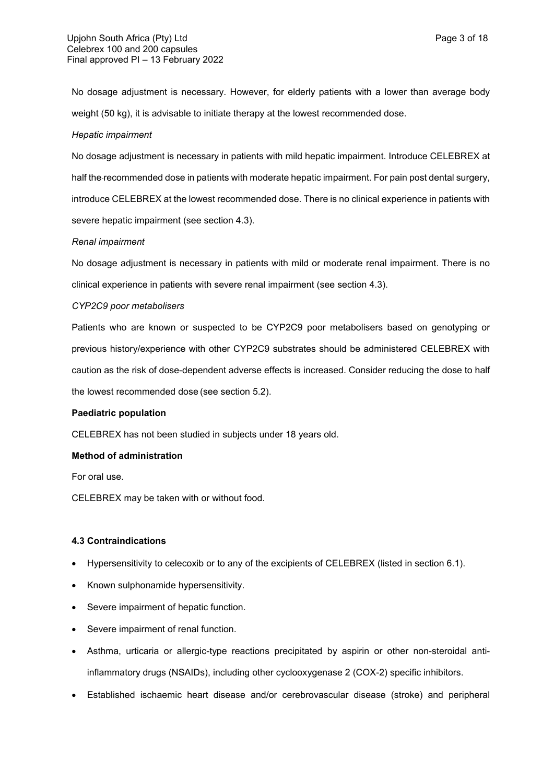No dosage adjustment is necessary. However, for elderly patients with a lower than average body weight (50 kg), it is advisable to initiate therapy at the lowest recommended dose.

#### *Hepatic impairment*

No dosage adjustment is necessary in patients with mild hepatic impairment. Introduce CELEBREX at half the recommended dose in patients with moderate hepatic impairment. For pain post dental surgery, introduce CELEBREX at the lowest recommended dose. There is no clinical experience in patients with severe hepatic impairment (see section 4.3).

#### *Renal impairment*

No dosage adjustment is necessary in patients with mild or moderate renal impairment. There is no clinical experience in patients with severe renal impairment (see section 4.3).

#### *CYP2C9 poor metabolisers*

Patients who are known or suspected to be CYP2C9 poor metabolisers based on genotyping or previous history/experience with other CYP2C9 substrates should be administered CELEBREX with caution as the risk of dose-dependent adverse effects is increased. Consider reducing the dose to half the lowest recommended dose (see section 5.2).

# **Paediatric population**

CELEBREX has not been studied in subjects under 18 years old.

#### **Method of administration**

For oral use.

CELEBREX may be taken with or without food.

# **4.3 Contraindications**

- Hypersensitivity to celecoxib or to any of the excipients of CELEBREX (listed in section 6.1).
- Known sulphonamide hypersensitivity.
- Severe impairment of hepatic function.
- Severe impairment of renal function.
- Asthma, urticaria or allergic-type reactions precipitated by aspirin or other non-steroidal antiinflammatory drugs (NSAIDs), including other cyclooxygenase 2 (COX-2) specific inhibitors.
- Established ischaemic heart disease and/or cerebrovascular disease (stroke) and peripheral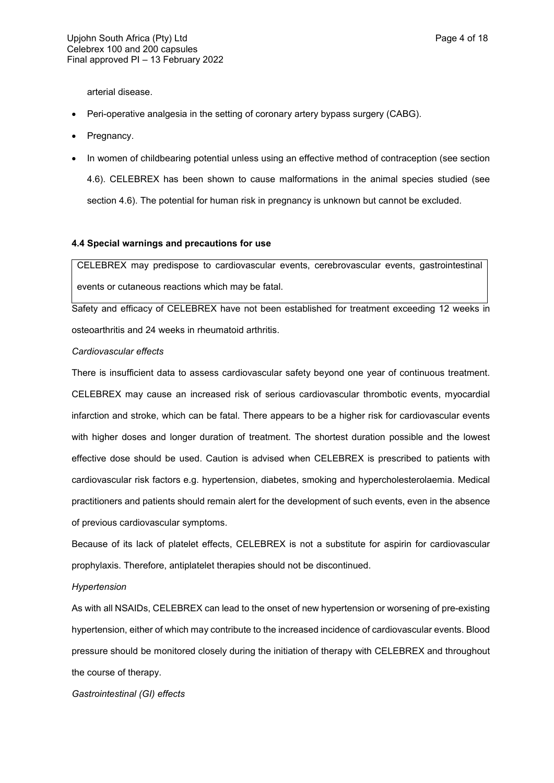arterial disease.

- Peri-operative analgesia in the setting of coronary artery bypass surgery (CABG).
- Pregnancy.
- In women of childbearing potential unless using an effective method of contraception (see section 4.6). CELEBREX has been shown to cause malformations in the animal species studied (see section 4.6). The potential for human risk in pregnancy is unknown but cannot be excluded.

# **4.4 Special warnings and precautions for use**

CELEBREX may predispose to cardiovascular events, cerebrovascular events, gastrointestinal events or cutaneous reactions which may be fatal.

Safety and efficacy of CELEBREX have not been established for treatment exceeding 12 weeks in osteoarthritis and 24 weeks in rheumatoid arthritis.

#### *Cardiovascular effects*

There is insufficient data to assess cardiovascular safety beyond one year of continuous treatment. CELEBREX may cause an increased risk of serious cardiovascular thrombotic events, myocardial infarction and stroke, which can be fatal. There appears to be a higher risk for cardiovascular events with higher doses and longer duration of treatment. The shortest duration possible and the lowest effective dose should be used. Caution is advised when CELEBREX is prescribed to patients with cardiovascular risk factors e.g. hypertension, diabetes, smoking and hypercholesterolaemia. Medical practitioners and patients should remain alert for the development of such events, even in the absence of previous cardiovascular symptoms.

Because of its lack of platelet effects, CELEBREX is not a substitute for aspirin for cardiovascular prophylaxis. Therefore, antiplatelet therapies should not be discontinued.

#### *Hypertension*

As with all NSAIDs, CELEBREX can lead to the onset of new hypertension or worsening of pre-existing hypertension, either of which may contribute to the increased incidence of cardiovascular events. Blood pressure should be monitored closely during the initiation of therapy with CELEBREX and throughout the course of therapy.

*Gastrointestinal (GI) effects*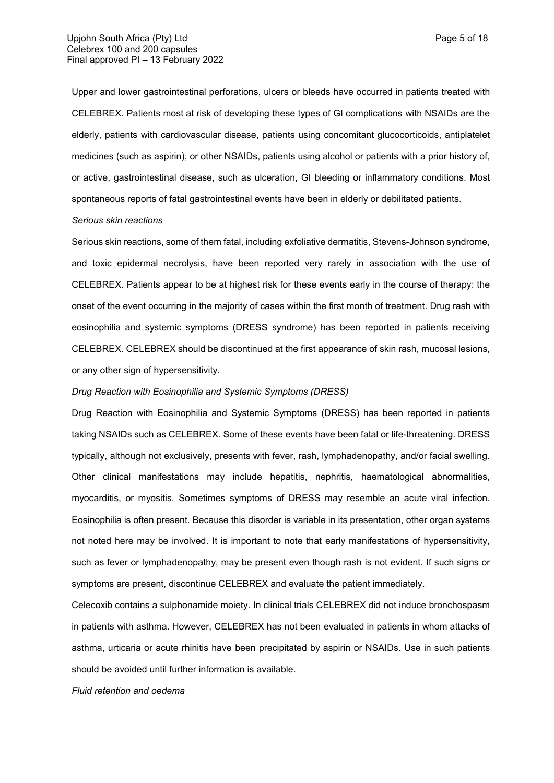Upper and lower gastrointestinal perforations, ulcers or bleeds have occurred in patients treated with CELEBREX. Patients most at risk of developing these types of GI complications with NSAIDs are the elderly, patients with cardiovascular disease, patients using concomitant glucocorticoids, antiplatelet medicines (such as aspirin), or other NSAIDs, patients using alcohol or patients with a prior history of, or active, gastrointestinal disease, such as ulceration, GI bleeding or inflammatory conditions. Most spontaneous reports of fatal gastrointestinal events have been in elderly or debilitated patients.

#### *Serious skin reactions*

Serious skin reactions, some of them fatal, including exfoliative dermatitis, Stevens-Johnson syndrome, and toxic epidermal necrolysis, have been reported very rarely in association with the use of CELEBREX. Patients appear to be at highest risk for these events early in the course of therapy: the onset of the event occurring in the majority of cases within the first month of treatment. Drug rash with eosinophilia and systemic symptoms (DRESS syndrome) has been reported in patients receiving CELEBREX. CELEBREX should be discontinued at the first appearance of skin rash, mucosal lesions, or any other sign of hypersensitivity.

#### *Drug Reaction with Eosinophilia and Systemic Symptoms (DRESS)*

Drug Reaction with Eosinophilia and Systemic Symptoms (DRESS) has been reported in patients taking NSAIDs such as CELEBREX. Some of these events have been fatal or life-threatening. DRESS typically, although not exclusively, presents with fever, rash, lymphadenopathy, and/or facial swelling. Other clinical manifestations may include hepatitis, nephritis, haematological abnormalities, myocarditis, or myositis. Sometimes symptoms of DRESS may resemble an acute viral infection. Eosinophilia is often present. Because this disorder is variable in its presentation, other organ systems not noted here may be involved. It is important to note that early manifestations of hypersensitivity, such as fever or lymphadenopathy, may be present even though rash is not evident. If such signs or symptoms are present, discontinue CELEBREX and evaluate the patient immediately.

Celecoxib contains a sulphonamide moiety. In clinical trials CELEBREX did not induce bronchospasm in patients with asthma. However, CELEBREX has not been evaluated in patients in whom attacks of asthma, urticaria or acute rhinitis have been precipitated by aspirin or NSAIDs. Use in such patients should be avoided until further information is available.

*Fluid retention and oedema*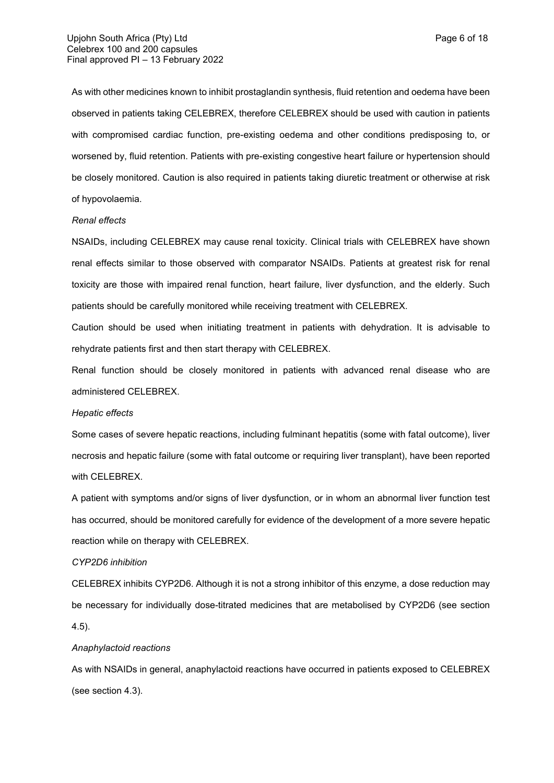As with other medicines known to inhibit prostaglandin synthesis, fluid retention and oedema have been observed in patients taking CELEBREX, therefore CELEBREX should be used with caution in patients with compromised cardiac function, pre-existing oedema and other conditions predisposing to, or worsened by, fluid retention. Patients with pre-existing congestive heart failure or hypertension should be closely monitored. Caution is also required in patients taking diuretic treatment or otherwise at risk of hypovolaemia.

#### *Renal effects*

NSAIDs, including CELEBREX may cause renal toxicity. Clinical trials with CELEBREX have shown renal effects similar to those observed with comparator NSAIDs. Patients at greatest risk for renal toxicity are those with impaired renal function, heart failure, liver dysfunction, and the elderly. Such patients should be carefully monitored while receiving treatment with CELEBREX.

Caution should be used when initiating treatment in patients with dehydration. It is advisable to rehydrate patients first and then start therapy with CELEBREX.

Renal function should be closely monitored in patients with advanced renal disease who are administered CELEBREX.

#### *Hepatic effects*

Some cases of severe hepatic reactions, including fulminant hepatitis (some with fatal outcome), liver necrosis and hepatic failure (some with fatal outcome or requiring liver transplant), have been reported with CELEBREX.

A patient with symptoms and/or signs of liver dysfunction, or in whom an abnormal liver function test has occurred, should be monitored carefully for evidence of the development of a more severe hepatic reaction while on therapy with CELEBREX.

#### *CYP2D6 inhibition*

CELEBREX inhibits CYP2D6. Although it is not a strong inhibitor of this enzyme, a dose reduction may be necessary for individually dose-titrated medicines that are metabolised by CYP2D6 (see section 4.5).

## *Anaphylactoid reactions*

As with NSAIDs in general, anaphylactoid reactions have occurred in patients exposed to CELEBREX (see section 4.3).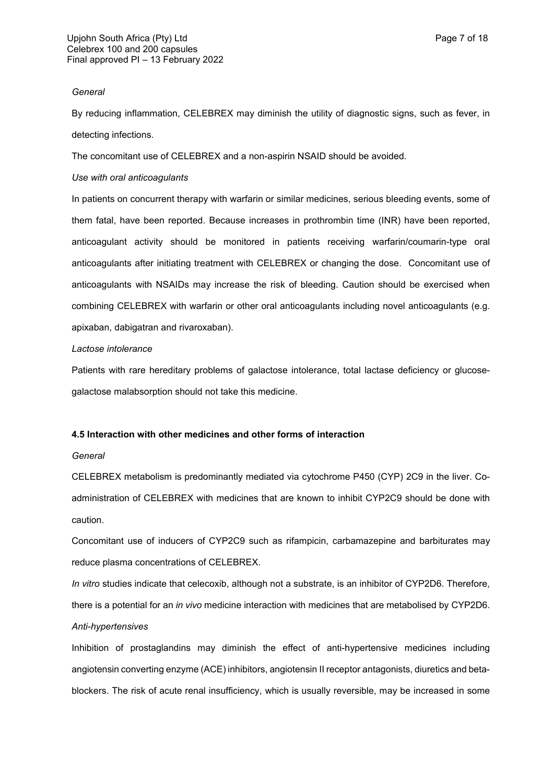### *General*

By reducing inflammation, CELEBREX may diminish the utility of diagnostic signs, such as fever, in detecting infections.

The concomitant use of CELEBREX and a non-aspirin NSAID should be avoided.

# *Use with oral anticoagulants*

In patients on concurrent therapy with warfarin or similar medicines, serious bleeding events, some of them fatal, have been reported. Because increases in prothrombin time (INR) have been reported, anticoagulant activity should be monitored in patients receiving warfarin/coumarin-type oral anticoagulants after initiating treatment with CELEBREX or changing the dose. Concomitant use of anticoagulants with NSAIDs may increase the risk of bleeding. Caution should be exercised when combining CELEBREX with warfarin or other oral anticoagulants including novel anticoagulants (e.g. apixaban, dabigatran and rivaroxaban).

# *Lactose intolerance*

Patients with rare hereditary problems of galactose intolerance, total lactase deficiency or glucosegalactose malabsorption should not take this medicine.

# **4.5 Interaction with other medicines and other forms of interaction**

# *General*

CELEBREX metabolism is predominantly mediated via cytochrome P450 (CYP) 2C9 in the liver. Coadministration of CELEBREX with medicines that are known to inhibit CYP2C9 should be done with caution.

Concomitant use of inducers of CYP2C9 such as rifampicin, carbamazepine and barbiturates may reduce plasma concentrations of CELEBREX.

*In vitro* studies indicate that celecoxib, although not a substrate, is an inhibitor of CYP2D6. Therefore, there is a potential for an *in vivo* medicine interaction with medicines that are metabolised by CYP2D6. *Anti-hypertensives*

Inhibition of prostaglandins may diminish the effect of anti-hypertensive medicines including angiotensin converting enzyme (ACE) inhibitors, angiotensin II receptor antagonists, diuretics and betablockers. The risk of acute renal insufficiency, which is usually reversible, may be increased in some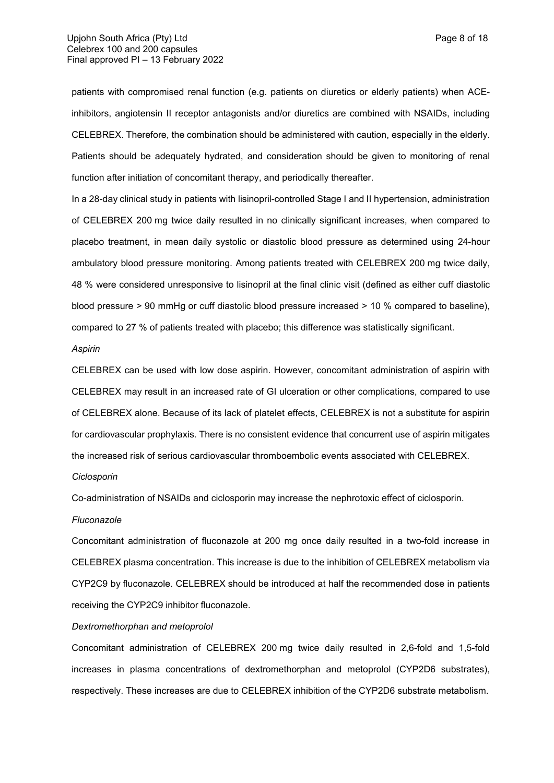patients with compromised renal function (e.g. patients on diuretics or elderly patients) when ACEinhibitors, angiotensin II receptor antagonists and/or diuretics are combined with NSAIDs, including CELEBREX. Therefore, the combination should be administered with caution, especially in the elderly. Patients should be adequately hydrated, and consideration should be given to monitoring of renal function after initiation of concomitant therapy, and periodically thereafter.

In a 28-day clinical study in patients with lisinopril-controlled Stage I and II hypertension, administration of CELEBREX 200 mg twice daily resulted in no clinically significant increases, when compared to placebo treatment, in mean daily systolic or diastolic blood pressure as determined using 24-hour ambulatory blood pressure monitoring. Among patients treated with CELEBREX 200 mg twice daily, 48 % were considered unresponsive to lisinopril at the final clinic visit (defined as either cuff diastolic blood pressure > 90 mmHg or cuff diastolic blood pressure increased > 10 % compared to baseline), compared to 27 % of patients treated with placebo; this difference was statistically significant.

#### *Aspirin*

CELEBREX can be used with low dose aspirin. However, concomitant administration of aspirin with CELEBREX may result in an increased rate of GI ulceration or other complications, compared to use of CELEBREX alone. Because of its lack of platelet effects, CELEBREX is not a substitute for aspirin for cardiovascular prophylaxis. There is no consistent evidence that concurrent use of aspirin mitigates the increased risk of serious cardiovascular thromboembolic events associated with CELEBREX.

### *Ciclosporin*

Co-administration of NSAIDs and ciclosporin may increase the nephrotoxic effect of ciclosporin.

#### *Fluconazole*

Concomitant administration of fluconazole at 200 mg once daily resulted in a two-fold increase in CELEBREX plasma concentration. This increase is due to the inhibition of CELEBREX metabolism via CYP2C9 by fluconazole. CELEBREX should be introduced at half the recommended dose in patients receiving the CYP2C9 inhibitor fluconazole.

# *Dextromethorphan and metoprolol*

Concomitant administration of CELEBREX 200 mg twice daily resulted in 2,6-fold and 1,5-fold increases in plasma concentrations of dextromethorphan and metoprolol (CYP2D6 substrates), respectively. These increases are due to CELEBREX inhibition of the CYP2D6 substrate metabolism.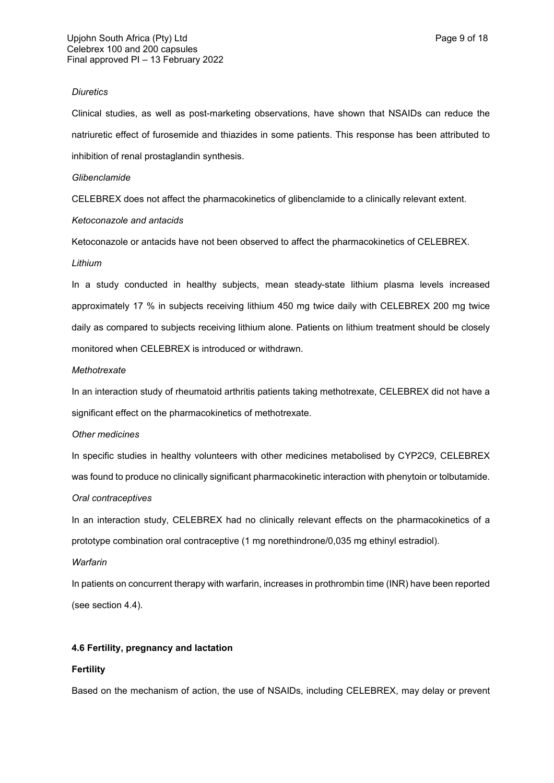#### *Diuretics*

Clinical studies, as well as post-marketing observations, have shown that NSAIDs can reduce the natriuretic effect of furosemide and thiazides in some patients. This response has been attributed to inhibition of renal prostaglandin synthesis.

#### *Glibenclamide*

CELEBREX does not affect the pharmacokinetics of glibenclamide to a clinically relevant extent.

#### *Ketoconazole and antacids*

Ketoconazole or antacids have not been observed to affect the pharmacokinetics of CELEBREX.

#### *Lithium*

In a study conducted in healthy subjects, mean steady-state lithium plasma levels increased approximately 17 % in subjects receiving lithium 450 mg twice daily with CELEBREX 200 mg twice daily as compared to subjects receiving lithium alone. Patients on lithium treatment should be closely monitored when CELEBREX is introduced or withdrawn.

#### *Methotrexate*

In an interaction study of rheumatoid arthritis patients taking methotrexate, CELEBREX did not have a significant effect on the pharmacokinetics of methotrexate.

# *Other medicines*

In specific studies in healthy volunteers with other medicines metabolised by CYP2C9, CELEBREX was found to produce no clinically significant pharmacokinetic interaction with phenytoin or tolbutamide. *Oral contraceptives*

In an interaction study, CELEBREX had no clinically relevant effects on the pharmacokinetics of a prototype combination oral contraceptive (1 mg norethindrone/0,035 mg ethinyl estradiol).

# *Warfarin*

In patients on concurrent therapy with warfarin, increases in prothrombin time (INR) have been reported (see section 4.4).

# **4.6 Fertility, pregnancy and lactation**

# **Fertility**

Based on the mechanism of action, the use of NSAIDs, including CELEBREX, may delay or prevent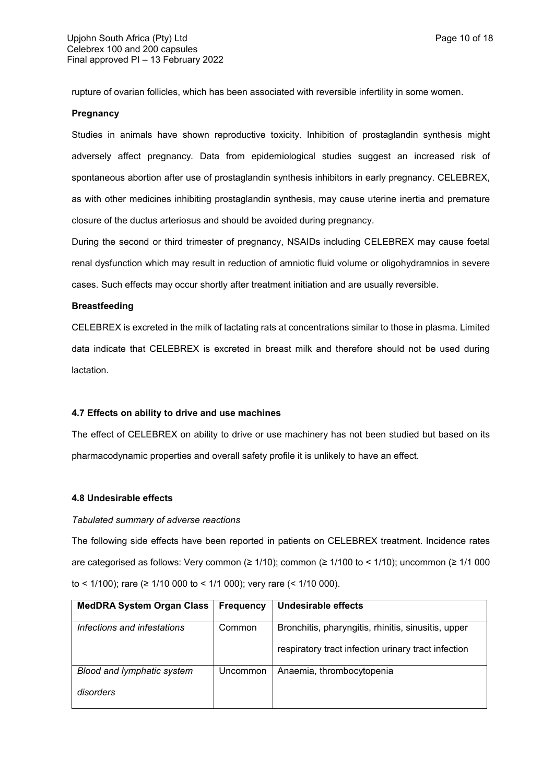rupture of ovarian follicles, which has been associated with reversible infertility in some women.

# **Pregnancy**

Studies in animals have shown reproductive toxicity. Inhibition of prostaglandin synthesis might adversely affect pregnancy. Data from epidemiological studies suggest an increased risk of spontaneous abortion after use of prostaglandin synthesis inhibitors in early pregnancy. CELEBREX, as with other medicines inhibiting prostaglandin synthesis, may cause uterine inertia and premature closure of the ductus arteriosus and should be avoided during pregnancy.

During the second or third trimester of pregnancy, NSAIDs including CELEBREX may cause foetal renal dysfunction which may result in reduction of amniotic fluid volume or oligohydramnios in severe cases. Such effects may occur shortly after treatment initiation and are usually reversible.

#### **Breastfeeding**

CELEBREX is excreted in the milk of lactating rats at concentrations similar to those in plasma. Limited data indicate that CELEBREX is excreted in breast milk and therefore should not be used during lactation.

# **4.7 Effects on ability to drive and use machines**

The effect of CELEBREX on ability to drive or use machinery has not been studied but based on its pharmacodynamic properties and overall safety profile it is unlikely to have an effect.

# **4.8 Undesirable effects**

#### *Tabulated summary of adverse reactions*

The following side effects have been reported in patients on CELEBREX treatment. Incidence rates are categorised as follows: Very common ( $\geq 1/10$ ); common ( $\geq 1/100$  to < 1/10); uncommon ( $\geq 1/1000$ to < 1/100); rare (≥ 1/10 000 to < 1/1 000); very rare (< 1/10 000).

| <b>MedDRA System Organ Class</b> | <b>Frequency</b> | Undesirable effects                                 |
|----------------------------------|------------------|-----------------------------------------------------|
|                                  |                  |                                                     |
| Infections and infestations      | Common           | Bronchitis, pharyngitis, rhinitis, sinusitis, upper |
|                                  |                  |                                                     |
|                                  |                  | respiratory tract infection urinary tract infection |
|                                  |                  |                                                     |
| Blood and lymphatic system       | Uncommon         | Anaemia, thrombocytopenia                           |
|                                  |                  |                                                     |
| disorders                        |                  |                                                     |
|                                  |                  |                                                     |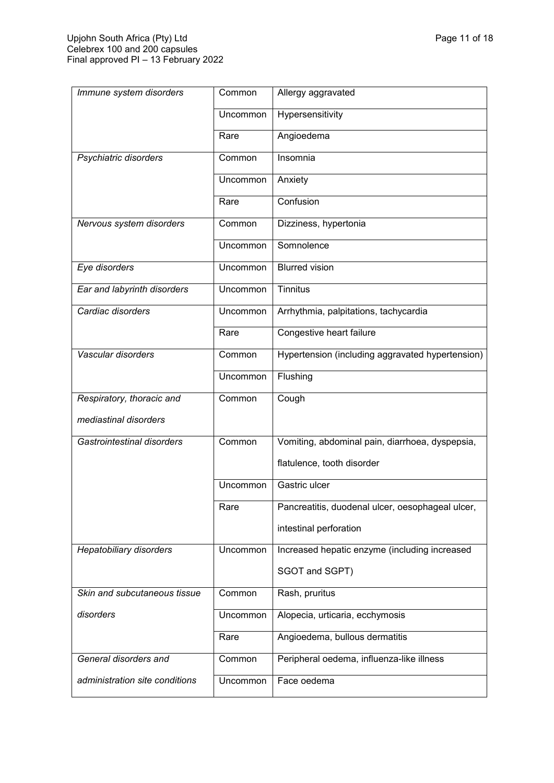| Immune system disorders        | Common          | Allergy aggravated                               |
|--------------------------------|-----------------|--------------------------------------------------|
|                                | Uncommon        | Hypersensitivity                                 |
|                                | Rare            | Angioedema                                       |
| Psychiatric disorders          | Common          | Insomnia                                         |
|                                | <b>Uncommon</b> | Anxiety                                          |
|                                | Rare            | Confusion                                        |
| Nervous system disorders       | Common          | Dizziness, hypertonia                            |
|                                | Uncommon        | Somnolence                                       |
| Eye disorders                  | Uncommon        | <b>Blurred vision</b>                            |
| Ear and labyrinth disorders    | Uncommon        | <b>Tinnitus</b>                                  |
| Cardiac disorders              | Uncommon        | Arrhythmia, palpitations, tachycardia            |
|                                | Rare            | Congestive heart failure                         |
| Vascular disorders             | Common          | Hypertension (including aggravated hypertension) |
|                                | Uncommon        | Flushing                                         |
|                                |                 |                                                  |
| Respiratory, thoracic and      | Common          | Cough                                            |
| mediastinal disorders          |                 |                                                  |
| Gastrointestinal disorders     | Common          | Vomiting, abdominal pain, diarrhoea, dyspepsia,  |
|                                |                 | flatulence, tooth disorder                       |
|                                | Uncommon        | Gastric ulcer                                    |
|                                | Rare            | Pancreatitis, duodenal ulcer, oesophageal ulcer, |
|                                |                 | intestinal perforation                           |
| <b>Hepatobiliary disorders</b> | Uncommon        | Increased hepatic enzyme (including increased    |
|                                |                 | SGOT and SGPT)                                   |
| Skin and subcutaneous tissue   | Common          | Rash, pruritus                                   |
| disorders                      | Uncommon        | Alopecia, urticaria, ecchymosis                  |
|                                | Rare            | Angioedema, bullous dermatitis                   |
| General disorders and          | Common          | Peripheral oedema, influenza-like illness        |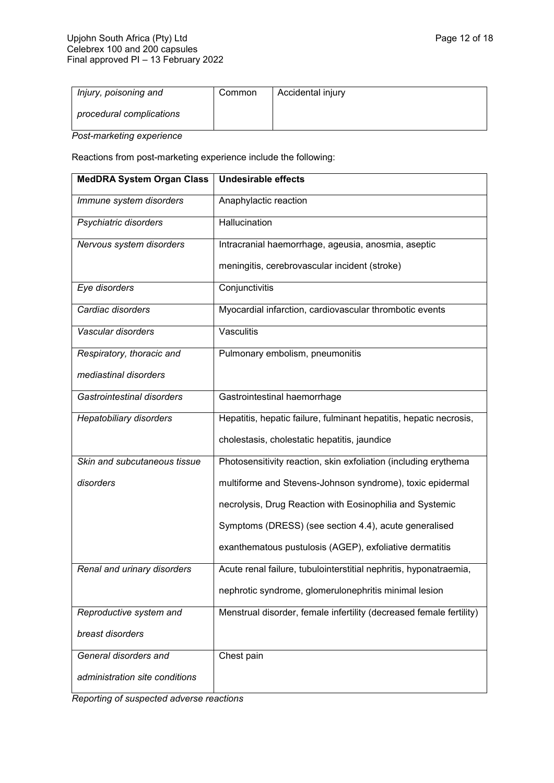| procedural complications |  |
|--------------------------|--|

*Post-marketing experience*

Reactions from post-marketing experience include the following:

| <b>MedDRA System Organ Class</b> | <b>Undesirable effects</b>                                          |
|----------------------------------|---------------------------------------------------------------------|
| Immune system disorders          | Anaphylactic reaction                                               |
| Psychiatric disorders            | Hallucination                                                       |
| Nervous system disorders         | Intracranial haemorrhage, ageusia, anosmia, aseptic                 |
|                                  | meningitis, cerebrovascular incident (stroke)                       |
| Eye disorders                    | Conjunctivitis                                                      |
| Cardiac disorders                | Myocardial infarction, cardiovascular thrombotic events             |
| Vascular disorders               | Vasculitis                                                          |
| Respiratory, thoracic and        | Pulmonary embolism, pneumonitis                                     |
| mediastinal disorders            |                                                                     |
| Gastrointestinal disorders       | Gastrointestinal haemorrhage                                        |
| Hepatobiliary disorders          | Hepatitis, hepatic failure, fulminant hepatitis, hepatic necrosis,  |
|                                  | cholestasis, cholestatic hepatitis, jaundice                        |
| Skin and subcutaneous tissue     | Photosensitivity reaction, skin exfoliation (including erythema     |
| disorders                        | multiforme and Stevens-Johnson syndrome), toxic epidermal           |
|                                  | necrolysis, Drug Reaction with Eosinophilia and Systemic            |
|                                  | Symptoms (DRESS) (see section 4.4), acute generalised               |
|                                  | exanthematous pustulosis (AGEP), exfoliative dermatitis             |
| Renal and urinary disorders      | Acute renal failure, tubulointerstitial nephritis, hyponatraemia,   |
|                                  | nephrotic syndrome, glomerulonephritis minimal lesion               |
| Reproductive system and          | Menstrual disorder, female infertility (decreased female fertility) |
| breast disorders                 |                                                                     |
| General disorders and            | Chest pain                                                          |
| administration site conditions   |                                                                     |

*Reporting of suspected adverse reactions*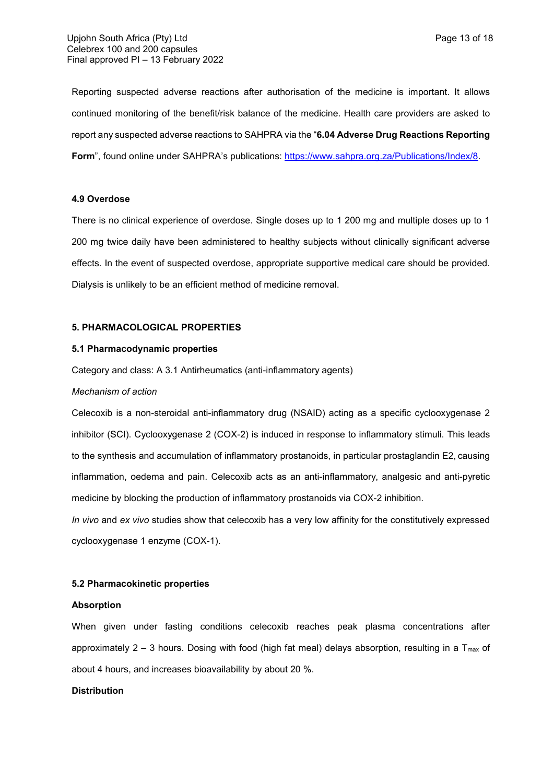Reporting suspected adverse reactions after authorisation of the medicine is important. It allows continued monitoring of the benefit/risk balance of the medicine. Health care providers are asked to report any suspected adverse reactions to SAHPRA via the "**6.04 Adverse Drug Reactions Reporting Form**", found online under SAHPRA's publications: [https://www.sahpra.org.za/Publications/Index/8.](https://www.sahpra.org.za/Publications/Index/8)

# **4.9 Overdose**

There is no clinical experience of overdose. Single doses up to 1 200 mg and multiple doses up to 1 200 mg twice daily have been administered to healthy subjects without clinically significant adverse effects. In the event of suspected overdose, appropriate supportive medical care should be provided. Dialysis is unlikely to be an efficient method of medicine removal.

#### **5. PHARMACOLOGICAL PROPERTIES**

#### **5.1 Pharmacodynamic properties**

Category and class: A 3.1 Antirheumatics (anti-inflammatory agents)

#### *Mechanism of action*

Celecoxib is a non-steroidal anti-inflammatory drug (NSAID) acting as a specific cyclooxygenase 2 inhibitor (SCI). Cyclooxygenase 2 (COX-2) is induced in response to inflammatory stimuli. This leads to the synthesis and accumulation of inflammatory prostanoids, in particular prostaglandin E2, causing inflammation, oedema and pain. Celecoxib acts as an anti-inflammatory, analgesic and anti-pyretic medicine by blocking the production of inflammatory prostanoids via COX-2 inhibition.

*In vivo* and *ex vivo* studies show that celecoxib has a very low affinity for the constitutively expressed cyclooxygenase 1 enzyme (COX-1).

### **5.2 Pharmacokinetic properties**

#### **Absorption**

When given under fasting conditions celecoxib reaches peak plasma concentrations after approximately 2 – 3 hours. Dosing with food (high fat meal) delays absorption, resulting in a  $T_{\text{max}}$  of about 4 hours, and increases bioavailability by about 20 %.

#### **Distribution**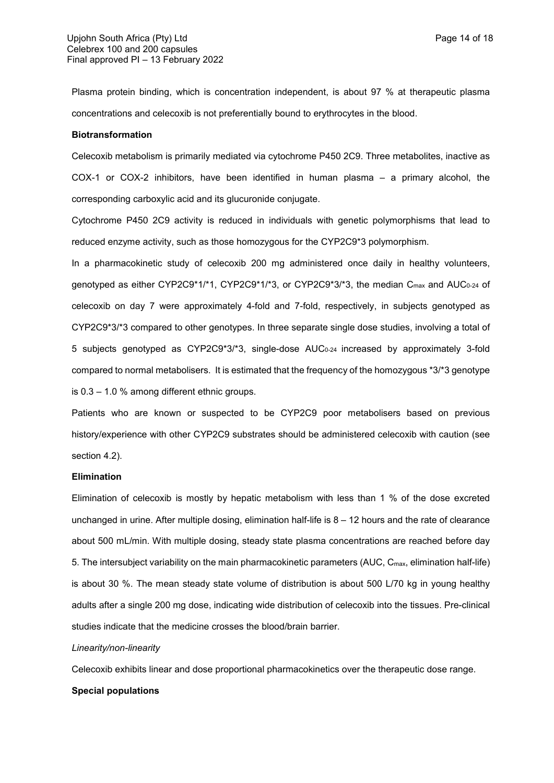Plasma protein binding, which is concentration independent, is about 97 % at therapeutic plasma concentrations and celecoxib is not preferentially bound to erythrocytes in the blood.

### **Biotransformation**

Celecoxib metabolism is primarily mediated via cytochrome P450 2C9. Three metabolites, inactive as COX-1 or COX-2 inhibitors, have been identified in human plasma – a primary alcohol, the corresponding carboxylic acid and its glucuronide conjugate.

Cytochrome P450 2C9 activity is reduced in individuals with genetic polymorphisms that lead to reduced enzyme activity, such as those homozygous for the CYP2C9\*3 polymorphism.

In a pharmacokinetic study of celecoxib 200 mg administered once daily in healthy volunteers, genotyped as either CYP2C9\*1/\*1, CYP2C9\*1/\*3, or CYP2C9\*3/\*3, the median  $C_{\text{max}}$  and AUC<sub>0-24</sub> of celecoxib on day 7 were approximately 4-fold and 7-fold, respectively, in subjects genotyped as CYP2C9\*3/\*3 compared to other genotypes. In three separate single dose studies, involving a total of 5 subjects genotyped as CYP2C9\*3/\*3, single-dose AUC<sub>0-24</sub> increased by approximately 3-fold compared to normal metabolisers. It is estimated that the frequency of the homozygous \*3/\*3 genotype is 0.3 – 1.0 % among different ethnic groups.

Patients who are known or suspected to be CYP2C9 poor metabolisers based on previous history/experience with other CYP2C9 substrates should be administered celecoxib with caution (see section 4.2).

#### **Elimination**

Elimination of celecoxib is mostly by hepatic metabolism with less than 1 % of the dose excreted unchanged in urine. After multiple dosing, elimination half-life is 8 – 12 hours and the rate of clearance about 500 mL/min. With multiple dosing, steady state plasma concentrations are reached before day 5. The intersubject variability on the main pharmacokinetic parameters (AUC, Cmax, elimination half-life) is about 30 %. The mean steady state volume of distribution is about 500 L/70 kg in young healthy adults after a single 200 mg dose, indicating wide distribution of celecoxib into the tissues. Pre-clinical studies indicate that the medicine crosses the blood/brain barrier.

## *Linearity/non-linearity*

Celecoxib exhibits linear and dose proportional pharmacokinetics over the therapeutic dose range.

#### **Special populations**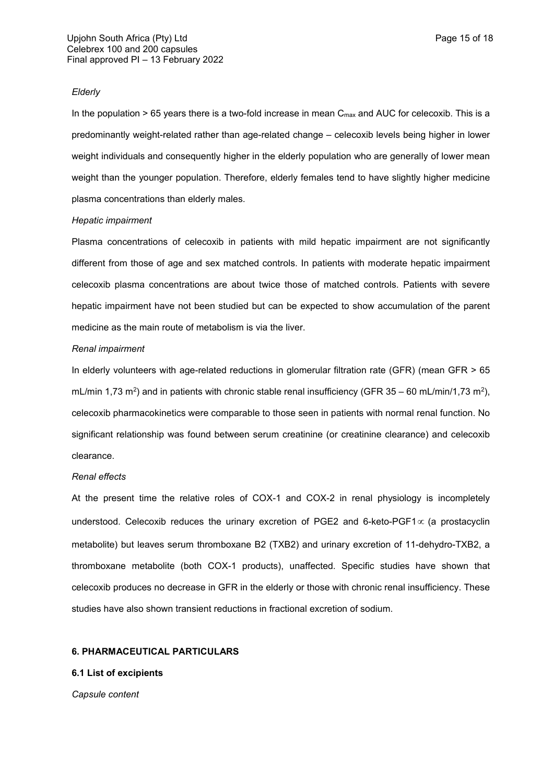# *Elderly*

In the population  $> 65$  years there is a two-fold increase in mean  $C_{\text{max}}$  and AUC for celecoxib. This is a predominantly weight-related rather than age-related change – celecoxib levels being higher in lower weight individuals and consequently higher in the elderly population who are generally of lower mean weight than the younger population. Therefore, elderly females tend to have slightly higher medicine plasma concentrations than elderly males.

#### *Hepatic impairment*

Plasma concentrations of celecoxib in patients with mild hepatic impairment are not significantly different from those of age and sex matched controls. In patients with moderate hepatic impairment celecoxib plasma concentrations are about twice those of matched controls. Patients with severe hepatic impairment have not been studied but can be expected to show accumulation of the parent medicine as the main route of metabolism is via the liver.

#### *Renal impairment*

In elderly volunteers with age-related reductions in glomerular filtration rate (GFR) (mean GFR > 65 mL/min 1,73 m<sup>2</sup>) and in patients with chronic stable renal insufficiency (GFR 35 – 60 mL/min/1,73 m<sup>2</sup>), celecoxib pharmacokinetics were comparable to those seen in patients with normal renal function. No significant relationship was found between serum creatinine (or creatinine clearance) and celecoxib clearance.

#### *Renal effects*

At the present time the relative roles of COX-1 and COX-2 in renal physiology is incompletely understood. Celecoxib reduces the urinary excretion of PGE2 and 6-keto-PGF1 $\infty$  (a prostacyclin metabolite) but leaves serum thromboxane B2 (TXB2) and urinary excretion of 11-dehydro-TXB2, a thromboxane metabolite (both COX-1 products), unaffected. Specific studies have shown that celecoxib produces no decrease in GFR in the elderly or those with chronic renal insufficiency. These studies have also shown transient reductions in fractional excretion of sodium.

### **6. PHARMACEUTICAL PARTICULARS**

#### **6.1 List of excipients**

*Capsule content*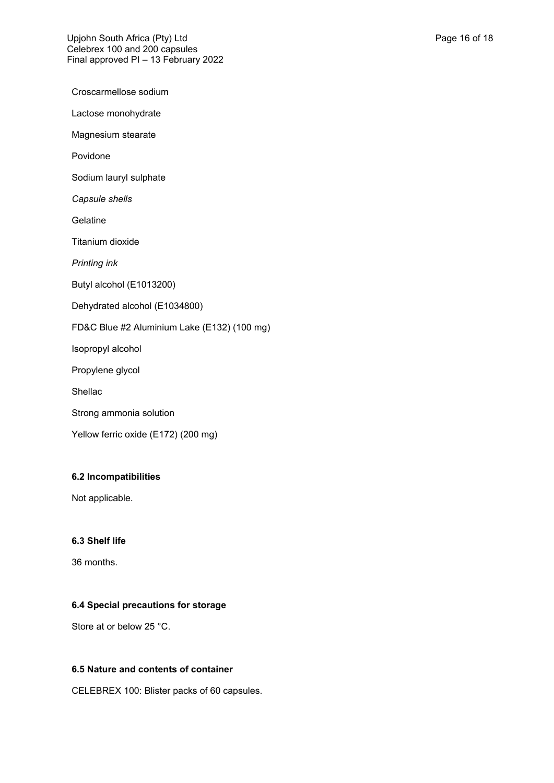Croscarmellose sodium Lactose monohydrate Magnesium stearate Povidone Sodium lauryl sulphate *Capsule shells* **Gelatine** Titanium dioxide *Printing ink* Butyl alcohol (E1013200) Dehydrated alcohol (E1034800) FD&C Blue #2 Aluminium Lake (E132) (100 mg) Isopropyl alcohol Propylene glycol Shellac Strong ammonia solution Yellow ferric oxide (E172) (200 mg)

# **6.2 Incompatibilities**

Not applicable.

# **6.3 Shelf life**

36 months.

# **6.4 Special precautions for storage**

Store at or below 25 °C.

# **6.5 Nature and contents of container**

CELEBREX 100: Blister packs of 60 capsules.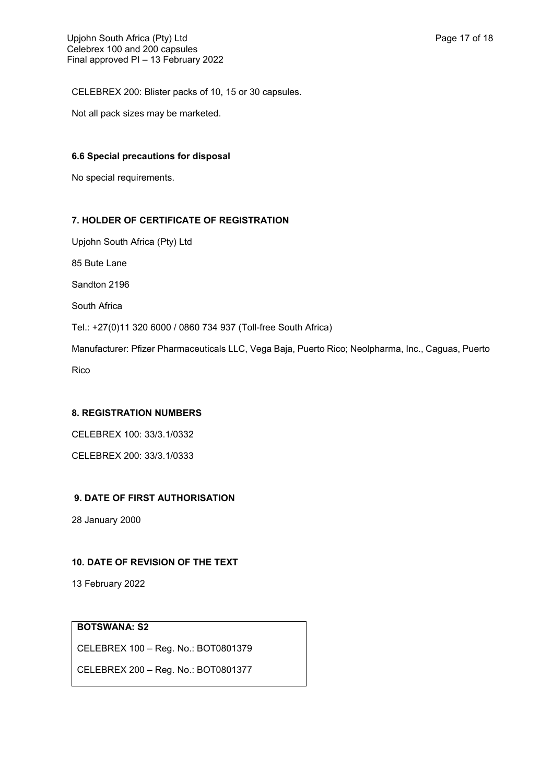CELEBREX 200: Blister packs of 10, 15 or 30 capsules.

Not all pack sizes may be marketed.

# **6.6 Special precautions for disposal**

No special requirements.

# **7. HOLDER OF CERTIFICATE OF REGISTRATION**

Upjohn South Africa (Pty) Ltd 85 Bute Lane Sandton 2196 South Africa Tel.: +27(0)11 320 6000 / 0860 734 937 (Toll-free South Africa) Manufacturer: Pfizer Pharmaceuticals LLC, Vega Baja, Puerto Rico; Neolpharma, Inc., Caguas, Puerto Rico

# **8. REGISTRATION NUMBERS**

CELEBREX 100: 33/3.1/0332

CELEBREX 200: 33/3.1/0333

# **9. DATE OF FIRST AUTHORISATION**

28 January 2000

# **10. DATE OF REVISION OF THE TEXT**

13 February 2022

# **BOTSWANA: S2**

CELEBREX 100 – Reg. No.: BOT0801379

CELEBREX 200 – Reg. No.: BOT0801377